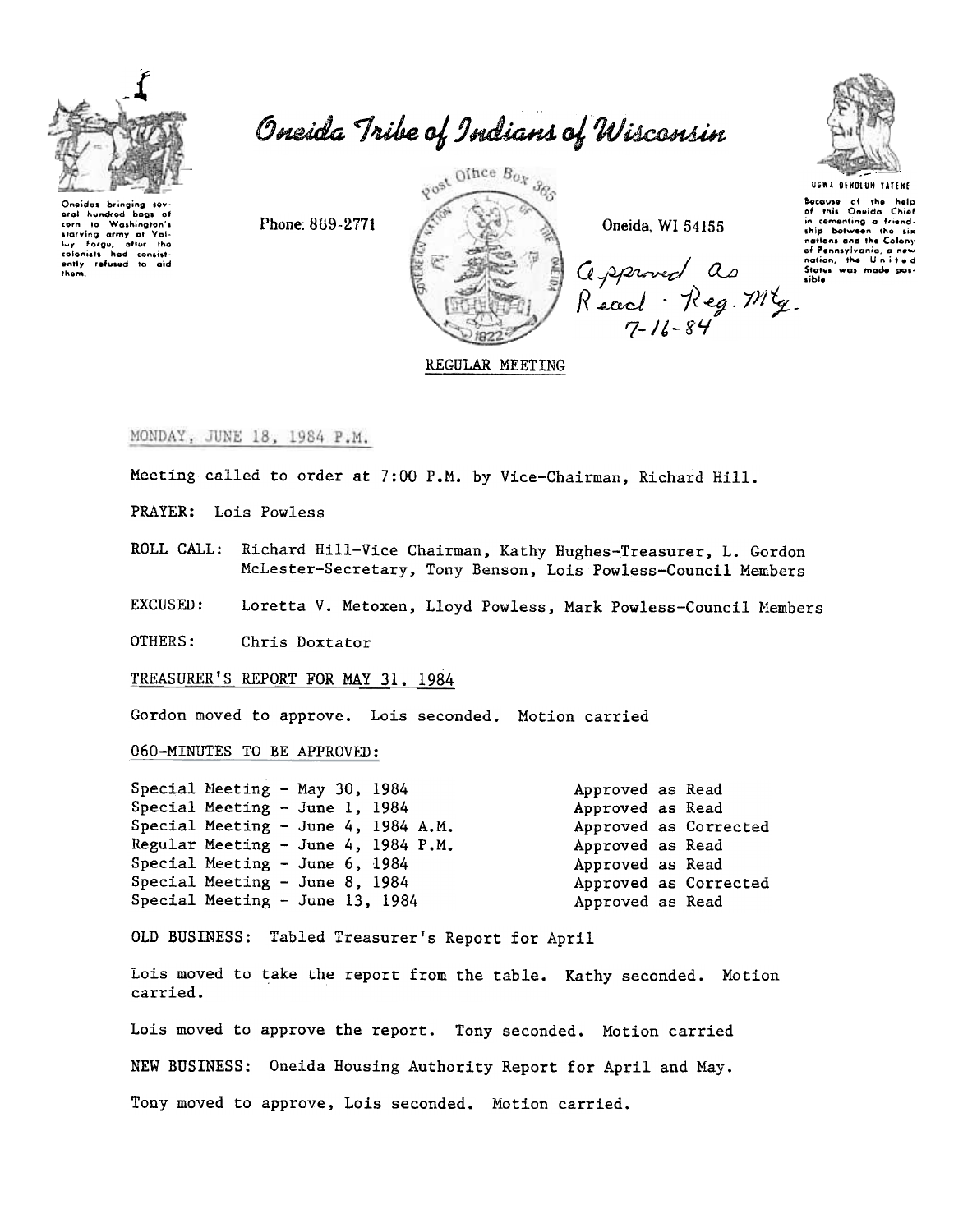

Oneida Tribe of Indians of Wisconsin

Oneidas brinaina sev oral hundred boos of to Washington's corn corn to Washington's<br>starving army at Vali-<br>luy Forgu, after the<br>colonists had consist-<br>ently refused to aid<br>them.

Phone: 869-2771



Oneida, WI 54155

Gepproved as<br>Recod - Reg. My.<br>7-16-84



UGWA DENOLUN ause of the help:<br>This Oneida Chief  $\overline{ot}$ in comenting a friendship between the six nations and the Colony of Pennsylvania, a<br>nation, the Uni Status was made

REGULAR MEETING

## MONDAY, JUNE 18, 1984 P.M.

Meeting called to order at 7:00 P.M. by Vice-Chairman, Richard Hill.

PRAYER: Lois Powless

ROLL CALL: Richard Hill-Vice Chairman, Kathy Hughes-Treasurer, L. Gordon McLester-Secretary, Tony Benson, Lois Powless-Council Members

EXCUSED: Loretta V. Metoxen, Lloyd Powless, Mark Powless-Council Members

OTHERS: Chris Doxtator

TREASURER'S REPORT FOR MAY 31, 1984

Gordon moved to approve. Lois seconded. Motion carried

060-MINUTES TO BE APPROVED:

| Special Meeting - May 30, 1984   |                                     | Approved as Read |                       |
|----------------------------------|-------------------------------------|------------------|-----------------------|
| Special Meeting $-$ June 1, 1984 |                                     | Approved as Read |                       |
|                                  | Special Meeting - June 4, 1984 A.M. |                  | Approved as Corrected |
|                                  | Regular Meeting - June 4, 1984 P.M. | Approved as Read |                       |
| Special Meeting - June $6, 1984$ |                                     | Approved as Read |                       |
| Special Meeting $-$ June 8, 1984 |                                     |                  | Approved as Corrected |
| Special Meeting - June 13, 1984  |                                     | Approved as Read |                       |

OLD BUSINESS: Tabled Treasurer's Report for April

Lois moved to take the report from the table. Kathy seconded. Motion carried.

Lois moved to approve the report. Tony seconded. Motion carried NEW BUSINESS: Oneida Housing Authority Report for April and May. Tony moved to approve, Lois seconded. Motion carried.